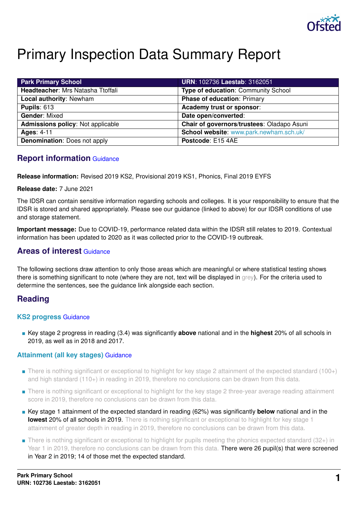

# Primary Inspection Data Summary Report

| <b>Park Primary School</b>          | <b>URN: 102736 Laestab: 3162051</b>        |
|-------------------------------------|--------------------------------------------|
| Headteacher: Mrs Natasha Ttoffali   | <b>Type of education: Community School</b> |
| Local authority: Newham             | <b>Phase of education: Primary</b>         |
| <b>Pupils: 613</b>                  | Academy trust or sponsor:                  |
| <b>Gender: Mixed</b>                | Date open/converted:                       |
| Admissions policy: Not applicable   | Chair of governors/trustees: Oladapo Asuni |
| <b>Ages: 4-11</b>                   | School website: www.park.newham.sch.uk/    |
| <b>Denomination:</b> Does not apply | Postcode: E15 4AE                          |

### **Report information** [Guidance](https://www.gov.uk/guidance/school-inspection-data-summary-report-idsr-guide#report-information)

**Release information:** Revised 2019 KS2, Provisional 2019 KS1, Phonics, Final 2019 EYFS

### **Release date:** 7 June 2021

The IDSR can contain sensitive information regarding schools and colleges. It is your responsibility to ensure that the IDSR is stored and shared appropriately. Please see our guidance (linked to above) for our IDSR conditions of use and storage statement.

**Important message:** Due to COVID-19, performance related data within the IDSR still relates to 2019. Contextual information has been updated to 2020 as it was collected prior to the COVID-19 outbreak.

### **Areas of interest** [Guidance](https://www.gov.uk/guidance/school-inspection-data-summary-report-idsr-guide#areas-interest)

The following sections draw attention to only those areas which are meaningful or where statistical testing shows there is something significant to note (where they are not, text will be displayed in grey). For the criteria used to determine the sentences, see the guidance link alongside each section.

# **Reading**

### **KS2 progress** [Guidance](https://www.gov.uk/guidance/school-inspection-data-summary-report-idsr-guide#primary-progress-reading-writing-and-mathematics)

■ Key stage 2 progress in reading (3.4) was significantly **above** national and in the **highest** 20% of all schools in 2019, as well as in 2018 and 2017.

### **Attainment (all key stages)** [Guidance](https://www.gov.uk/guidance/school-inspection-data-summary-report-idsr-guide#primary-attainment-reading-writing-and-mathematics)

- There is nothing significant or exceptional to highlight for key stage 2 attainment of the expected standard (100+) and high standard (110+) in reading in 2019, therefore no conclusions can be drawn from this data.
- There is nothing significant or exceptional to highlight for the key stage 2 three-year average reading attainment score in 2019, therefore no conclusions can be drawn from this data.
- Key stage 1 attainment of the expected standard in reading (62%) was significantly **below** national and in the **lowest 20% of all schools in 2019.** There is nothing significant or exceptional to highlight for key stage 1 attainment of greater depth in reading in 2019, therefore no conclusions can be drawn from this data.
- There is nothing significant or exceptional to highlight for pupils meeting the phonics expected standard (32+) in Year 1 in 2019, therefore no conclusions can be drawn from this data. There were 26 pupil(s) that were screened in Year 2 in 2019; 14 of those met the expected standard.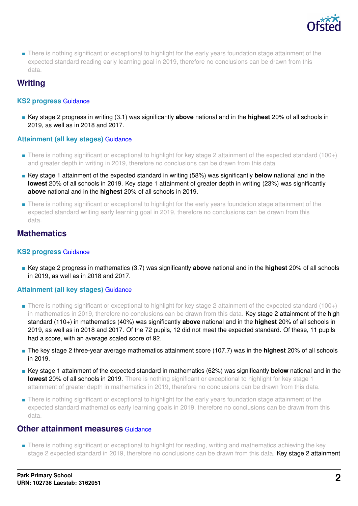

■ There is nothing significant or exceptional to highlight for the early years foundation stage attainment of the expected standard reading early learning goal in 2019, therefore no conclusions can be drawn from this data.

# **Writing**

### **KS2 progress** [Guidance](https://www.gov.uk/guidance/school-inspection-data-summary-report-idsr-guide#primary-progress-reading-writing-and-mathematics)

■ Key stage 2 progress in writing (3.1) was significantly **above** national and in the **highest** 20% of all schools in 2019, as well as in 2018 and 2017.

### **Attainment (all key stages)** [Guidance](https://www.gov.uk/guidance/school-inspection-data-summary-report-idsr-guide#primary-attainment-reading-writing-and-mathematics)

- There is nothing significant or exceptional to highlight for key stage 2 attainment of the expected standard (100+) and greater depth in writing in 2019, therefore no conclusions can be drawn from this data.
- Key stage 1 attainment of the expected standard in writing (58%) was significantly **below** national and in the **lowest** 20% of all schools in 2019. Key stage 1 attainment of greater depth in writing (23%) was significantly **above** national and in the **highest** 20% of all schools in 2019.
- There is nothing significant or exceptional to highlight for the early years foundation stage attainment of the expected standard writing early learning goal in 2019, therefore no conclusions can be drawn from this data.

# **Mathematics**

### **KS2 progress** [Guidance](https://www.gov.uk/guidance/school-inspection-data-summary-report-idsr-guide#primary-progress-reading-writing-and-mathematics)

■ Key stage 2 progress in mathematics (3.7) was significantly **above** national and in the **highest** 20% of all schools in 2019, as well as in 2018 and 2017.

### **Attainment (all key stages)** [Guidance](https://www.gov.uk/guidance/school-inspection-data-summary-report-idsr-guide#primary-attainment-reading-writing-and-mathematics)

- There is nothing significant or exceptional to highlight for key stage 2 attainment of the expected standard (100+) in mathematics in 2019, therefore no conclusions can be drawn from this data. Key stage 2 attainment of the high standard (110+) in mathematics (40%) was significantly **above** national and in the **highest** 20% of all schools in 2019, as well as in 2018 and 2017. Of the 72 pupils, 12 did not meet the expected standard. Of these, 11 pupils had a score, with an average scaled score of 92.
- The key stage 2 three-year average mathematics attainment score (107.7) was in the **highest** 20% of all schools in 2019.
- Key stage 1 attainment of the expected standard in mathematics (62%) was significantly **below** national and in the **lowest 20% of all schools in 2019.** There is nothing significant or exceptional to highlight for key stage 1 attainment of greater depth in mathematics in 2019, therefore no conclusions can be drawn from this data.
- There is nothing significant or exceptional to highlight for the early years foundation stage attainment of the expected standard mathematics early learning goals in 2019, therefore no conclusions can be drawn from this data.

### **Other attainment measures [Guidance](https://www.gov.uk/guidance/school-inspection-data-summary-report-idsr-guide#primary-other-measures)**

■ There is nothing significant or exceptional to highlight for reading, writing and mathematics achieving the key stage 2 expected standard in 2019, therefore no conclusions can be drawn from this data. Key stage 2 attainment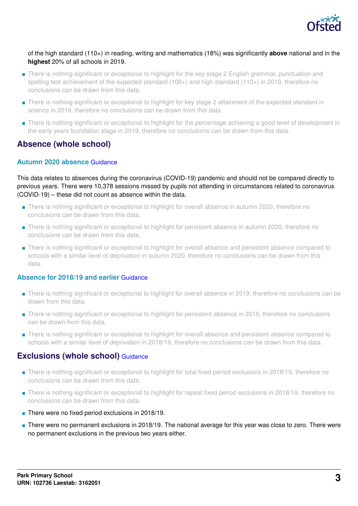

### of the high standard (110+) in reading, writing and mathematics (18%) was significantly **above** national and in the **highest** 20% of all schools in 2019.

- There is nothing significant or exceptional to highlight for the key stage 2 English grammar, punctuation and spelling test achievement of the expected standard (100+) and high standard (110+) in 2019, therefore no conclusions can be drawn from this data.
- There is nothing significant or exceptional to highlight for key stage 2 attainment of the expected standard in science in 2019, therefore no conclusions can be drawn from this data.
- There is nothing significant or exceptional to highlight for the percentage achieving a good level of development in the early years foundation stage in 2019, therefore no conclusions can be drawn from this data.

# **Absence (whole school)**

### **Autumn 2020 absence** [Guidance](https://www.gov.uk/guidance/school-inspection-data-summary-report-idsr-guide#autumnabsence)

This data relates to absences during the coronavirus (COVID-19) pandemic and should not be compared directly to previous years. There were 10,378 sessions missed by pupils not attending in circumstances related to coronavirus (COVID-19) – these did not count as absence within the data.

- There is nothing significant or exceptional to highlight for overall absence in autumn 2020, therefore no conclusions can be drawn from this data.
- There is nothing significant or exceptional to highlight for persistent absence in autumn 2020, therefore no conclusions can be drawn from this data.
- There is nothing significant or exceptional to highlight for overall absence and persistent absence compared to schools with a similar level of deprivation in autumn 2020, therefore no conclusions can be drawn from this data.

#### **Absence for 2018/19 and earlier** [Guidance](https://www.gov.uk/guidance/school-inspection-data-summary-report-idsr-guide#absence)

- There is nothing significant or exceptional to highlight for overall absence in 2019, therefore no conclusions can be drawn from this data.
- There is nothing significant or exceptional to highlight for persistent absence in 2019, therefore no conclusions can be drawn from this data.
- There is nothing significant or exceptional to highlight for overall absence and persistent absence compared to schools with a similar level of deprivation in 2018/19, therefore no conclusions can be drawn from this data.

### **Exclusions (whole school)** [Guidance](https://www.gov.uk/guidance/school-inspection-data-summary-report-idsr-guide#exclusions)

- There is nothing significant or exceptional to highlight for total fixed period exclusions in 2018/19, therefore no conclusions can be drawn from this data.
- There is nothing significant or exceptional to highlight for repeat fixed period exclusions in 2018/19, therefore no conclusions can be drawn from this data.
- There were no fixed period exclusions in 2018/19.
- There were no permanent exclusions in 2018/19. The national average for this year was close to zero. There were no permanent exclusions in the previous two years either.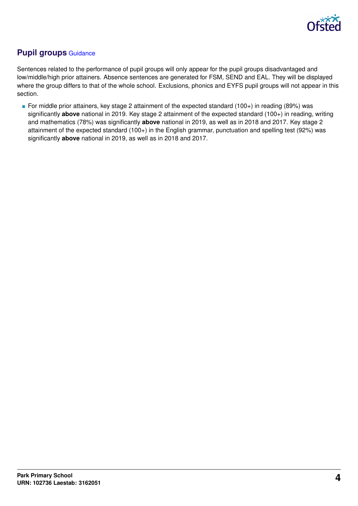

# **Pupil groups** [Guidance](https://www.gov.uk/guidance/school-inspection-data-summary-report-idsr-guide#pupil-groups)

Sentences related to the performance of pupil groups will only appear for the pupil groups disadvantaged and low/middle/high prior attainers. Absence sentences are generated for FSM, SEND and EAL. They will be displayed where the group differs to that of the whole school. Exclusions, phonics and EYFS pupil groups will not appear in this section.

■ For middle prior attainers, key stage 2 attainment of the expected standard (100+) in reading (89%) was significantly **above** national in 2019. Key stage 2 attainment of the expected standard (100+) in reading, writing and mathematics (78%) was significantly **above** national in 2019, as well as in 2018 and 2017. Key stage 2 attainment of the expected standard (100+) in the English grammar, punctuation and spelling test (92%) was significantly **above** national in 2019, as well as in 2018 and 2017.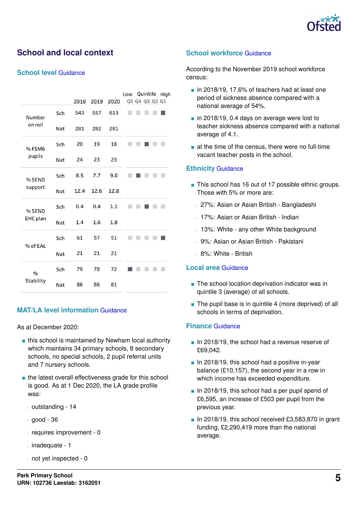

# **School and local context**

### **School level** [Guidance](https://www.gov.uk/guidance/school-inspection-data-summary-report-idsr-guide#school-level)

|           |     |      |      |      | Quintile<br>Low<br>High |
|-----------|-----|------|------|------|-------------------------|
|           |     | 2018 | 2019 | 2020 | Q5 Q4 Q3 Q2 Q1          |
| Number    | Sch | 543  | 557  | 613  |                         |
| on roll   | Nat | 281  | 282  | 281  |                         |
| % FSM6    | Sch | 20   | 19   | 18   |                         |
| pupils    | Nat | 24   | 23   | 23   |                         |
| % SEND    | Sch | 8.5  | 7.7  | 9.0  |                         |
| support   | Nat | 12.4 | 12.6 | 12.8 |                         |
| % SEND    | Sch | 0.4  | 0.4  | 1.1  |                         |
| EHC plan  | Nat | 1.4  | 1.6  | 1.8  |                         |
| % of EAL  | Sch | 61   | 57   | 51   |                         |
|           | Nat | 21   | 21   | 21   |                         |
| $\%$      | Sch | 79   | 78   | 72   |                         |
| Stability | Nat | 86   | 86   | 81   |                         |

### **MAT/LA level information** [Guidance](https://www.gov.uk/guidance/school-inspection-data-summary-report-idsr-guide#multi-academy)

As at December 2020:

- this school is maintained by Newham local authority which maintains 34 primary schools, 8 secondary schools, no special schools, 2 pupil referral units and 7 nursery schools.
- the latest overall effectiveness grade for this school is good. As at 1 Dec 2020, the LA grade profile was:
	- outstanding 14
	- good 36
	- requires improvement 0
	- inadequate 1
	- not yet inspected 0

### **School workforce** [Guidance](https://www.gov.uk/guidance/school-inspection-data-summary-report-idsr-guide#school-workforce)

According to the November 2019 school workforce census:

- in 2018/19, 17.6% of teachers had at least one period of sickness absence compared with a national average of 54%.
- in 2018/19, 0.4 days on average were lost to teacher sickness absence compared with a national average of 4.1.
- at the time of the census, there were no full-time vacant teacher posts in the school.

#### **Ethnicity** [Guidance](https://www.gov.uk/guidance/school-inspection-data-summary-report-idsr-guide#ethnicity)

- This school has 16 out of 17 possible ethnic groups. Those with 5% or more are:
	- 27%: Asian or Asian British Bangladeshi
	- 17%: Asian or Asian British Indian
	- 13%: White any other White background
	- 9%: Asian or Asian British Pakistani
	- 8%: White British

#### **Local area** [Guidance](https://www.gov.uk/guidance/school-inspection-data-summary-report-idsr-guide#local-area)

- The school location deprivation indicator was in quintile 3 (average) of all schools.
- The pupil base is in quintile 4 (more deprived) of all schools in terms of deprivation.

### **Finance** [Guidance](https://www.gov.uk/guidance/school-inspection-data-summary-report-idsr-guide#finance)

- In 2018/19, the school had a revenue reserve of £69,042.
- In 2018/19, this school had a positive in-year balance (£10,157), the second year in a row in which income has exceeded expenditure.
- In 2018/19, this school had a per pupil spend of £6,595, an increase of £503 per pupil from the previous year.
- In 2018/19, this school received £3,583,870 in grant funding, £2,290,419 more than the national average.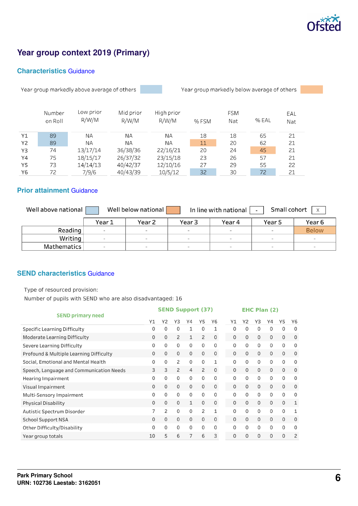

# **Year group context 2019 (Primary)**

### **Characteristics** [Guidance](https://www.gov.uk/guidance/school-inspection-data-summary-report-idsr-guide#characteristics)

Year group markedly above average of others

Year group markedly below average of others

|    | Number<br>on Roll | Low prior<br>R/W/M | Mid prior<br>R/W/M | High prior<br>R/W/M | % FSM | <b>FSM</b><br>Nat | % EAL | EAL<br>Nat |
|----|-------------------|--------------------|--------------------|---------------------|-------|-------------------|-------|------------|
| Y1 | 89                | ΝA                 | ΝA                 | ΝA                  | 18    | 18                | 65    | 21         |
| Y2 | 89                | ΝA                 | <b>NA</b>          | <b>NA</b>           | 11    | 20                | 62    | 21         |
| Y3 | 74                | 13/17/14           | 36/38/36           | 22/16/21            | 20    | 24                | 45    | 21         |
| Y4 | 75                | 18/15/17           | 26/37/32           | 23/15/18            | 23    | 26                | 57    | 21         |
| Y5 | 73                | 14/14/13           | 40/42/37           | 12/10/16            | 27    | 29                | 55    | 22         |
| Y6 | 72                | 7/9/6              | 40/43/39           | 10/5/12             | 32    | 30                | 72    | 21         |

### **Prior attainment** [Guidance](https://www.gov.uk/guidance/school-inspection-data-summary-report-idsr-guide#prior-attainment)

| Well above national                                      | Small cohort<br>Well below national<br>In line with national<br>$\mathsf{X}$<br>$\overline{\phantom{0}}$ |        |        |        |                          |              |  |  |  |  |  |  |
|----------------------------------------------------------|----------------------------------------------------------------------------------------------------------|--------|--------|--------|--------------------------|--------------|--|--|--|--|--|--|
| Year 2<br>Year 3<br>Year 6<br>Year 1<br>Year 4<br>Year 5 |                                                                                                          |        |        |        |                          |              |  |  |  |  |  |  |
| Reading                                                  | $\overline{\phantom{a}}$                                                                                 | $\sim$ | $\sim$ | $\sim$ | $\sim$                   | <b>Below</b> |  |  |  |  |  |  |
| Writing                                                  |                                                                                                          | $\sim$ | $\sim$ | $\sim$ | $\overline{\phantom{a}}$ | $\sim$       |  |  |  |  |  |  |
| Mathematics                                              |                                                                                                          | $\sim$ | $\sim$ | $\sim$ | $\sim$                   | $\sim$       |  |  |  |  |  |  |

### **SEND characteristics** [Guidance](https://www.gov.uk/guidance/school-inspection-data-summary-report-idsr-guide#send)

Type of resourced provision:

Number of pupils with SEND who are also disadvantaged: 16

|                                          |                | <b>SEND Support (37)</b> |                |                |                |              |    |          | <b>EHC Plan (2)</b> |             |              |              |                |
|------------------------------------------|----------------|--------------------------|----------------|----------------|----------------|--------------|----|----------|---------------------|-------------|--------------|--------------|----------------|
| <b>SEND primary need</b>                 | Y1             | Y <sub>2</sub>           | Y3             | Y4             | Y5             | Y6           | Υ1 |          | Υ2                  | Y3          | Y4           | Y5           | Y6             |
| <b>Specific Learning Difficulty</b>      | 0              | 0                        | $\Omega$       | 1              | 0              | 1            |    | 0        | 0                   | 0           | $\Omega$     | $\mathbf 0$  | 0              |
| <b>Moderate Learning Difficulty</b>      | 0              | 0                        | $\overline{c}$ | 1              | $\overline{c}$ | $\mathbf 0$  |    | 0        | $\Omega$            | 0           | $\Omega$     | $\mathbf{0}$ | 0              |
| Severe Learning Difficulty               | 0              | 0                        | $\mathbf 0$    | $\mathbf 0$    | 0              | 0            |    | 0        | $\Omega$            | 0           | 0            | 0            | 0              |
| Profound & Multiple Learning Difficulty  | $\mathbf{0}$   | 0                        | $\mathbf 0$    | $\mathbf{0}$   | 0              | $\mathbf 0$  |    | 0        | 0                   | 0           | 0            | 0            | 0              |
| Social, Emotional and Mental Health      | 0              | 0                        | 2              | $\Omega$       | 0              | $\mathbf{1}$ |    | $\Omega$ | 0                   | 0           | 0            | $\mathbf{0}$ | 0              |
| Speech, Language and Communication Needs | 3              | 3                        | $\overline{c}$ | $\overline{4}$ | 2              | $\mathbf{0}$ |    | $\Omega$ | $\mathbf{0}$        | $\mathbf 0$ | $\mathbf{0}$ | $\mathbf{0}$ | 0              |
| <b>Hearing Impairment</b>                | 0              | 0                        | $\Omega$       | $\Omega$       | 0              | $\mathbf{0}$ |    | 0        | 0                   | 0           | $\mathbf 0$  | 0            | 0              |
| Visual Impairment                        | $\Omega$       | 0                        | $\mathbf 0$    | $\mathbf 0$    | 0              | $\mathbf 0$  |    | 0        | 0                   | 0           | $\Omega$     | $\Omega$     | 0              |
| Multi-Sensory Impairment                 | 0              | 0                        | $\mathbf 0$    | $\Omega$       | 0              | 0            |    | $\Omega$ | 0                   | 0           | 0            | $\Omega$     | 0              |
| <b>Physical Disability</b>               | 0              | 0                        | $\mathbf 0$    | $\mathbf{1}$   | 0              | $\mathbf 0$  |    | 0        | $\Omega$            | 0           | $\Omega$     | $\mathbf 0$  | 1              |
| Autistic Spectrum Disorder               | $\overline{7}$ | 2                        | $\Omega$       | $\mathbf 0$    | 2              | $\mathbf{1}$ |    | 0        | $\Omega$            | 0           | 0            | $\Omega$     | 1              |
| <b>School Support NSA</b>                | $\mathbf{0}$   | 0                        | $\Omega$       | $\mathbf{0}$   | 0              | $\mathbf 0$  |    | 0        | 0                   | 0           | 0            | $\mathbf{0}$ | $\mathbf 0$    |
| Other Difficulty/Disability              | 0              | 0                        | $\Omega$       | $\Omega$       | $\Omega$       | $\Omega$     |    | $\Omega$ | 0                   | 0           | $\Omega$     | $\Omega$     | 0              |
| Year group totals                        | 10             | 5                        | 6              | 7              | 6              | 3            |    | 0        | 0                   | 0           | 0            | $\Omega$     | $\overline{c}$ |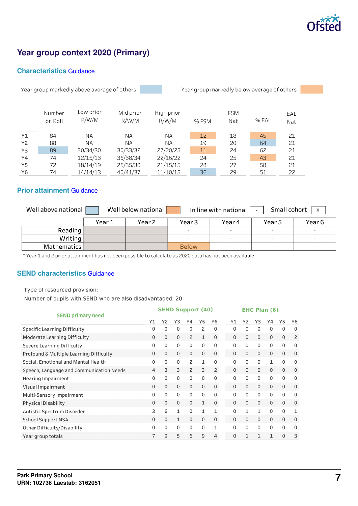

# **Year group context 2020 (Primary)**

### **Characteristics** [Guidance](https://www.gov.uk/guidance/school-inspection-data-summary-report-idsr-guide#characteristics)

Year group markedly above average of others

Year group markedly below average of others

|           | Number<br>on Roll | Low prior<br>R/W/M | Mid prior<br>R/W/M | High prior<br>R/W/M | % FSM | <b>FSM</b><br>Nat | % EAL | EAL<br>Nat |
|-----------|-------------------|--------------------|--------------------|---------------------|-------|-------------------|-------|------------|
| Y1        | 84                | ΝA                 | ΝA                 | ΝA                  | 12    | 18                | 45    | 21         |
| <b>Y2</b> | 88                | ΝA                 | <b>NA</b>          | <b>NA</b>           | 19    | 20                | 64    | 21         |
| Y3        | 89                | 30/34/30           | 30/33/32           | 27/20/25            | 11    | 24                | 62    | 21         |
| Y4        | 74                | 12/15/13           | 35/38/34           | 22/16/22            | 24    | 25                | 43    | 21         |
| Y5        | 72                | 18/14/19           | 25/35/30           | 21/15/15            | 28    | 27                | 58    | 21         |
| Y6        | 74                | 14/14/13           | 40/41/37           | 11/10/15            | 36    | 29                | 51    | 22         |

### **Prior attainment** [Guidance](https://www.gov.uk/guidance/school-inspection-data-summary-report-idsr-guide#prior-attainment)

| Well above national | Small cohort<br>Well below national<br>In line with national<br>$\mathsf{X}$<br>$\overline{\phantom{0}}$ |        |              |                          |                          |                          |  |  |  |  |  |
|---------------------|----------------------------------------------------------------------------------------------------------|--------|--------------|--------------------------|--------------------------|--------------------------|--|--|--|--|--|
|                     | Year 1                                                                                                   | Year 2 | Year 3       | Year 4                   | Year 5                   | Year 6                   |  |  |  |  |  |
| Reading             |                                                                                                          |        | $\sim$       | $\sim$                   | $\sim$                   | $\overline{\phantom{a}}$ |  |  |  |  |  |
| Writing             |                                                                                                          |        | $\sim$       | $\sim$                   | $\sim$                   | $\sim$                   |  |  |  |  |  |
| Mathematics         |                                                                                                          |        | <b>Below</b> | $\overline{\phantom{a}}$ | $\overline{\phantom{a}}$ | $\sim$                   |  |  |  |  |  |

\* Year 1 and 2 prior attainment has not been possible to calculate as 2020 data has not been available.

### **SEND characteristics** [Guidance](https://www.gov.uk/guidance/school-inspection-data-summary-report-idsr-guide#send)

Type of resourced provision:

Number of pupils with SEND who are also disadvantaged: 20

| <b>SEND primary need</b>                 |          | <b>SEND Support (40)</b><br><b>EHC Plan (6)</b> |              |              |    |             |  |          |          |          |              |             |             |  |
|------------------------------------------|----------|-------------------------------------------------|--------------|--------------|----|-------------|--|----------|----------|----------|--------------|-------------|-------------|--|
|                                          | Y1       | Y2                                              | Y3           | Y4           | Y5 | Y6          |  | Υ1       | Υ2       | Y3       | Υ4           | Y5          | Y6          |  |
| <b>Specific Learning Difficulty</b>      | 0        | 0                                               | $\Omega$     | $\Omega$     | 2  | $\Omega$    |  | $\Omega$ | 0        | 0        | 0            | 0           | 0           |  |
| <b>Moderate Learning Difficulty</b>      | 0        | 0                                               | $\mathbf 0$  | 2            | 1  | $\mathbf 0$ |  | 0        | $\Omega$ | 0        | 0            | $\mathbf 0$ | 2           |  |
| Severe Learning Difficulty               | 0        | 0                                               | $\mathbf 0$  | $\Omega$     | 0  | 0           |  | 0        | 0        | 0        | $\Omega$     | $\mathbf 0$ | 0           |  |
| Profound & Multiple Learning Difficulty  | 0        | 0                                               | $\mathbf 0$  | $\mathbf 0$  | 0  | 0           |  | 0        | 0        | 0        | $\mathbf 0$  | 0           | 0           |  |
| Social, Emotional and Mental Health      | 0        | 0                                               | $\Omega$     | 2            | 1  | 0           |  | 0        | 0        | 0        | $\mathbf{1}$ | $\Omega$    | 0           |  |
| Speech, Language and Communication Needs | 4        | 3                                               | 3            | 2            | 3  | 2           |  | $\Omega$ | 0        | $\Omega$ | 0            | $\Omega$    | $\mathbf 0$ |  |
| Hearing Impairment                       | 0        | 0                                               | $\Omega$     | $\mathbf{0}$ | 0  | 0           |  | 0        | 0        | 0        | 0            | 0           | 0           |  |
| Visual Impairment                        | $\Omega$ | $\Omega$                                        | $\mathbf 0$  | $\mathbf 0$  | 0  | $\mathbf 0$ |  | 0        | $\Omega$ | 0        | $\Omega$     | $\mathbf 0$ | 0           |  |
| Multi-Sensory Impairment                 | 0        | 0                                               | $\Omega$     | $\Omega$     | 0  | 0           |  | $\Omega$ | 0        | 0        | $\Omega$     | $\Omega$    | 0           |  |
| <b>Physical Disability</b>               | $\Omega$ | 0                                               | $\mathbf 0$  | $\mathbf 0$  | 1  | $\mathbf 0$ |  | 0        | 0        | 0        | $\Omega$     | $\mathbf 0$ | 0           |  |
| Autistic Spectrum Disorder               | 3        | 6                                               | $\mathbf{1}$ | $\Omega$     | 1  | 1           |  | 0        |          | 1        | $\Omega$     | $\Omega$    | 1           |  |
| <b>School Support NSA</b>                | 0        | 0                                               | $\mathbf{1}$ | $\Omega$     | 0  | $\mathbf 0$ |  | 0        | $\Omega$ | 0        | $\mathbf 0$  | $\Omega$    | 0           |  |
| Other Difficulty/Disability              | 0        | 0                                               | $\Omega$     | $\Omega$     | 0  | 1           |  | $\Omega$ | 0        | 0        | $\Omega$     | $\Omega$    | 0           |  |
| Year group totals                        | 7        | 9                                               | 5            | 6            | 9  | 4           |  | 0        |          | 1        | 1            | $\Omega$    | 3           |  |